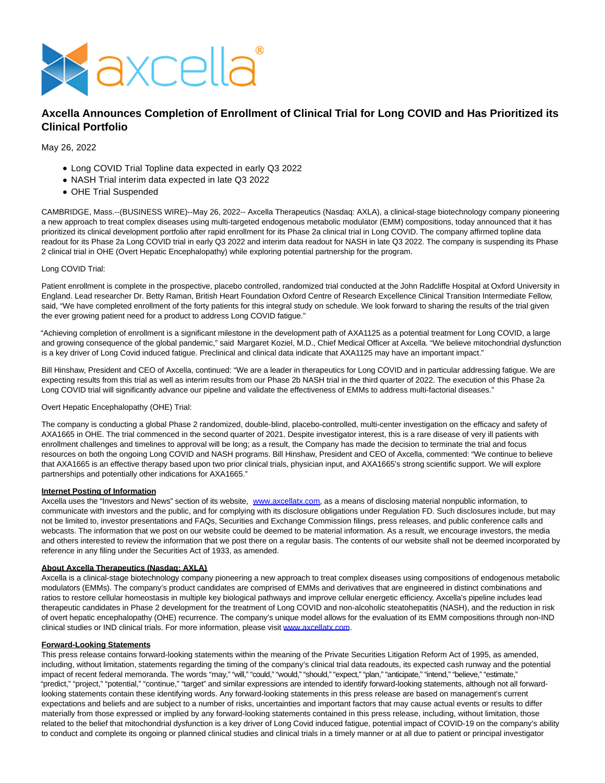

# **Axcella Announces Completion of Enrollment of Clinical Trial for Long COVID and Has Prioritized its Clinical Portfolio**

## May 26, 2022

- Long COVID Trial Topline data expected in early Q3 2022
- NASH Trial interim data expected in late Q3 2022
- OHE Trial Suspended

CAMBRIDGE, Mass.--(BUSINESS WIRE)--May 26, 2022-- Axcella Therapeutics (Nasdaq: AXLA), a clinical-stage biotechnology company pioneering a new approach to treat complex diseases using multi-targeted endogenous metabolic modulator (EMM) compositions, today announced that it has prioritized its clinical development portfolio after rapid enrollment for its Phase 2a clinical trial in Long COVID. The company affirmed topline data readout for its Phase 2a Long COVID trial in early Q3 2022 and interim data readout for NASH in late Q3 2022. The company is suspending its Phase 2 clinical trial in OHE (Overt Hepatic Encephalopathy) while exploring potential partnership for the program.

#### Long COVID Trial:

Patient enrollment is complete in the prospective, placebo controlled, randomized trial conducted at the John Radcliffe Hospital at Oxford University in England. Lead researcher Dr. Betty Raman, British Heart Foundation Oxford Centre of Research Excellence Clinical Transition Intermediate Fellow, said, "We have completed enrollment of the forty patients for this integral study on schedule. We look forward to sharing the results of the trial given the ever growing patient need for a product to address Long COVID fatigue."

"Achieving completion of enrollment is a significant milestone in the development path of AXA1125 as a potential treatment for Long COVID, a large and growing consequence of the global pandemic," said Margaret Koziel, M.D., Chief Medical Officer at Axcella. "We believe mitochondrial dysfunction is a key driver of Long Covid induced fatigue. Preclinical and clinical data indicate that AXA1125 may have an important impact."

Bill Hinshaw, President and CEO of Axcella, continued: "We are a leader in therapeutics for Long COVID and in particular addressing fatigue. We are expecting results from this trial as well as interim results from our Phase 2b NASH trial in the third quarter of 2022. The execution of this Phase 2a Long COVID trial will significantly advance our pipeline and validate the effectiveness of EMMs to address multi-factorial diseases."

### Overt Hepatic Encephalopathy (OHE) Trial:

The company is conducting a global Phase 2 randomized, double-blind, placebo-controlled, multi-center investigation on the efficacy and safety of AXA1665 in OHE. The trial commenced in the second quarter of 2021. Despite investigator interest, this is a rare disease of very ill patients with enrollment challenges and timelines to approval will be long; as a result, the Company has made the decision to terminate the trial and focus resources on both the ongoing Long COVID and NASH programs. Bill Hinshaw, President and CEO of Axcella, commented: "We continue to believe that AXA1665 is an effective therapy based upon two prior clinical trials, physician input, and AXA1665's strong scientific support. We will explore partnerships and potentially other indications for AXA1665."

### **Internet Posting of Information**

Axcella uses the "Investors and News" section of its website, [www.axcellatx.com,](https://cts.businesswire.com/ct/CT?id=smartlink&url=http%3A%2F%2Fwww.axcellatx.com&esheet=52731661&newsitemid=20220526005270&lan=en-US&anchor=www.axcellatx.com&index=1&md5=6b14488618d2e49372d29aff6b582f62) as a means of disclosing material nonpublic information, to communicate with investors and the public, and for complying with its disclosure obligations under Regulation FD. Such disclosures include, but may not be limited to, investor presentations and FAQs, Securities and Exchange Commission filings, press releases, and public conference calls and webcasts. The information that we post on our website could be deemed to be material information. As a result, we encourage investors, the media and others interested to review the information that we post there on a regular basis. The contents of our website shall not be deemed incorporated by reference in any filing under the Securities Act of 1933, as amended.

#### **About Axcella Therapeutics (Nasdaq: AXLA)**

Axcella is a clinical-stage biotechnology company pioneering a new approach to treat complex diseases using compositions of endogenous metabolic modulators (EMMs). The company's product candidates are comprised of EMMs and derivatives that are engineered in distinct combinations and ratios to restore cellular homeostasis in multiple key biological pathways and improve cellular energetic efficiency. Axcella's pipeline includes lead therapeutic candidates in Phase 2 development for the treatment of Long COVID and non-alcoholic steatohepatitis (NASH), and the reduction in risk of overt hepatic encephalopathy (OHE) recurrence. The company's unique model allows for the evaluation of its EMM compositions through non-IND clinical studies or IND clinical trials. For more information, please visit [www.axcellatx.com.](https://cts.businesswire.com/ct/CT?id=smartlink&url=http%3A%2F%2Fwww.axcellatx.com&esheet=52731661&newsitemid=20220526005270&lan=en-US&anchor=www.axcellatx.com&index=2&md5=653f7ffa0b5af3255341d8a3daecbfe1)

### **Forward-Looking Statements**

This press release contains forward-looking statements within the meaning of the Private Securities Litigation Reform Act of 1995, as amended, including, without limitation, statements regarding the timing of the company's clinical trial data readouts, its expected cash runway and the potential impact of recent federal memoranda. The words "may," "will," "could," "would," "should," "expect," "plan," "anticipate," "intend," "believe," "estimate," "predict," "project," "potential," "continue," "target" and similar expressions are intended to identify forward-looking statements, although not all forwardlooking statements contain these identifying words. Any forward-looking statements in this press release are based on management's current expectations and beliefs and are subject to a number of risks, uncertainties and important factors that may cause actual events or results to differ materially from those expressed or implied by any forward-looking statements contained in this press release, including, without limitation, those related to the belief that mitochondrial dysfunction is a key driver of Long Covid induced fatigue, potential impact of COVID-19 on the company's ability to conduct and complete its ongoing or planned clinical studies and clinical trials in a timely manner or at all due to patient or principal investigator